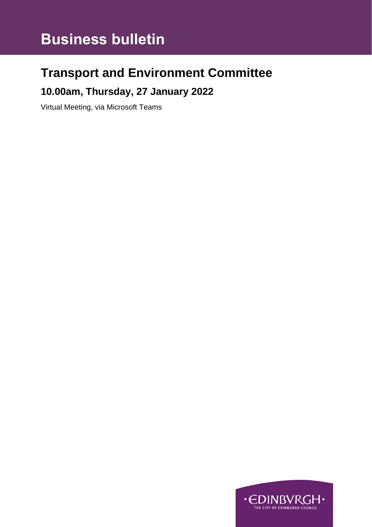# **Business bulletin**

# **Transport and Environment Committee**

### **10.00am, Thursday, 27 January 2022**

Virtual Meeting, via Microsoft Teams

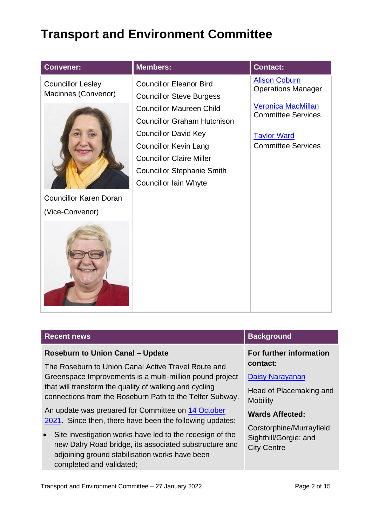## **Transport and Environment Committee**

| <b>Convener:</b>                                | <b>Members:</b>                                                                                                                                                                                                                              | <b>Contact:</b>                                                                                           |
|-------------------------------------------------|----------------------------------------------------------------------------------------------------------------------------------------------------------------------------------------------------------------------------------------------|-----------------------------------------------------------------------------------------------------------|
| <b>Councillor Lesley</b><br>Macinnes (Convenor) | <b>Councillor Eleanor Bird</b><br><b>Councillor Steve Burgess</b>                                                                                                                                                                            | <b>Alison Coburn</b><br><b>Operations Manager</b>                                                         |
|                                                 | <b>Councillor Maureen Child</b><br><b>Councillor Graham Hutchison</b><br><b>Councillor David Key</b><br><b>Councillor Kevin Lang</b><br><b>Councillor Claire Miller</b><br><b>Councillor Stephanie Smith</b><br><b>Councillor Iain Whyte</b> | <b>Veronica MacMillan</b><br><b>Committee Services</b><br><b>Taylor Ward</b><br><b>Committee Services</b> |
| <b>Councillor Karen Doran</b>                   |                                                                                                                                                                                                                                              |                                                                                                           |
| (Vice-Convenor)                                 |                                                                                                                                                                                                                                              |                                                                                                           |
|                                                 |                                                                                                                                                                                                                                              |                                                                                                           |

#### **Recent news Background**

#### **Roseburn to Union Canal – Update**

The Roseburn to Union Canal Active Travel Route and Greenspace Improvements is a multi-million pound project that will transform the quality of walking and cycling connections from the Roseburn Path to the Telfer Subway.

An update was prepared for Committee on [14 October](https://democracy.edinburgh.gov.uk/documents/s39337/6.1%20-%20Business%20bulletin%20141021_Final.pdf)  [2021.](https://democracy.edinburgh.gov.uk/documents/s39337/6.1%20-%20Business%20bulletin%20141021_Final.pdf) Since then, there have been the following updates:

Site investigation works have led to the redesign of the new Dalry Road bridge, its associated substructure and adjoining ground stabilisation works have been completed and validated;

#### **For further information contact:**

#### [Daisy Narayanan](mailto:Daisy.Narayanan@edinburgh.gov.uk)

Head of Placemaking and **Mobility** 

#### **Wards Affected:**

Corstorphine/Murrayfield; Sighthill/Gorgie; and City Centre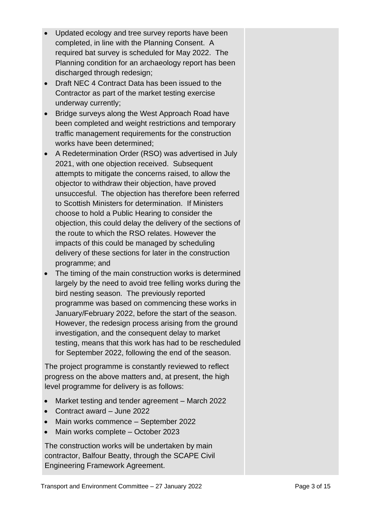- Updated ecology and tree survey reports have been completed, in line with the Planning Consent. A required bat survey is scheduled for May 2022. The Planning condition for an archaeology report has been discharged through redesign;
- Draft NEC 4 Contract Data has been issued to the Contractor as part of the market testing exercise underway currently;
- Bridge surveys along the West Approach Road have been completed and weight restrictions and temporary traffic management requirements for the construction works have been determined;
- A Redetermination Order (RSO) was advertised in July 2021, with one objection received. Subsequent attempts to mitigate the concerns raised, to allow the objector to withdraw their objection, have proved unsuccesful. The objection has therefore been referred to Scottish Ministers for determination. If Ministers choose to hold a Public Hearing to consider the objection, this could delay the delivery of the sections of the route to which the RSO relates. However the impacts of this could be managed by scheduling delivery of these sections for later in the construction programme; and
- The timing of the main construction works is determined largely by the need to avoid tree felling works during the bird nesting season. The previously reported programme was based on commencing these works in January/February 2022, before the start of the season. However, the redesign process arising from the ground investigation, and the consequent delay to market testing, means that this work has had to be rescheduled for September 2022, following the end of the season.

The project programme is constantly reviewed to reflect progress on the above matters and, at present, the high level programme for delivery is as follows:

- Market testing and tender agreement March 2022
- Contract award June 2022
- Main works commence September 2022
- Main works complete October 2023

The construction works will be undertaken by main contractor, Balfour Beatty, through the SCAPE Civil Engineering Framework Agreement.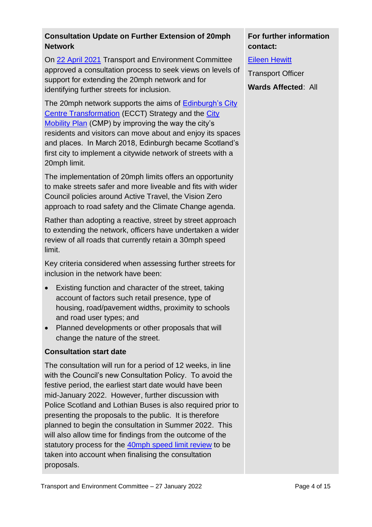#### **Consultation Update on Further Extension of 20mph Network**

On [22 April 2021](https://democracy.edinburgh.gov.uk/documents/s33316/7.5%20-%20Consultation%20on%20Further%20Ext%20of%2020mph%20Network%20Update%20v3.0.pdf) Transport and Environment Committee approved a consultation process to seek views on levels of support for extending the 20mph network and for identifying further streets for inclusion.

The 20mph network supports the aims of [Edinburgh's City](https://www.edinburgh.gov.uk/roads-travel-parking/city-centre-transformation/2?documentId=13084&categoryId=20016)  [Centre Transformation](https://www.edinburgh.gov.uk/roads-travel-parking/city-centre-transformation/2?documentId=13084&categoryId=20016) (ECCT) Strategy and the [City](https://www.edinburgh.gov.uk/city-mobility-plan-1)  [Mobility Plan](https://www.edinburgh.gov.uk/city-mobility-plan-1) (CMP) by improving the way the city's residents and visitors can move about and enjoy its spaces and places. In March 2018, Edinburgh became Scotland's first city to implement a citywide network of streets with a 20mph limit.

The implementation of 20mph limits offers an opportunity to make streets safer and more liveable and fits with wider Council policies around Active Travel, the Vision Zero approach to road safety and the Climate Change agenda.

Rather than adopting a reactive, street by street approach to extending the network, officers have undertaken a wider review of all roads that currently retain a 30mph speed limit.

Key criteria considered when assessing further streets for inclusion in the network have been:

- Existing function and character of the street, taking account of factors such retail presence, type of housing, road/pavement widths, proximity to schools and road user types; and
- Planned developments or other proposals that will change the nature of the street.

#### **Consultation start date**

The consultation will run for a period of 12 weeks, in line with the Council's new Consultation Policy. To avoid the festive period, the earliest start date would have been mid-January 2022. However, further discussion with Police Scotland and Lothian Buses is also required prior to presenting the proposals to the public. It is therefore planned to begin the consultation in Summer 2022. This will also allow time for findings from the outcome of the statutory process for the [40mph speed limit review](https://democracy.edinburgh.gov.uk/documents/s14508/Item%207.4%20-%2040mph%20Speed%20Limit%20Review.pdf) to be taken into account when finalising the consultation proposals.

### **For further information contact:**

[Eileen Hewitt](mailto:Eileen.hewitt@edinburgh.gov.uk)

Transport Officer

**Wards Affected**: All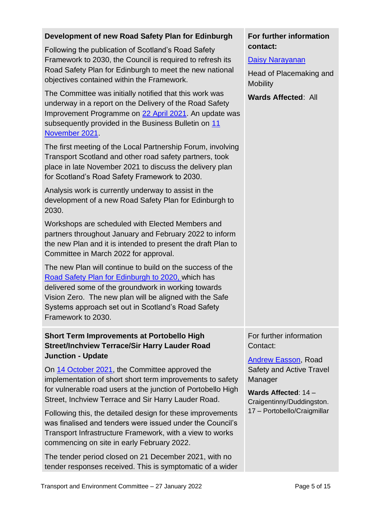| Development of new Road Safety Plan for Edinburgh                                                                                                                                                                                                                                                            | For further information                                                                         |  |
|--------------------------------------------------------------------------------------------------------------------------------------------------------------------------------------------------------------------------------------------------------------------------------------------------------------|-------------------------------------------------------------------------------------------------|--|
| Following the publication of Scotland's Road Safety<br>Framework to 2030, the Council is required to refresh its<br>Road Safety Plan for Edinburgh to meet the new national<br>objectives contained within the Framework.                                                                                    | contact:<br><b>Daisy Narayanan</b><br>Head of Placemaking and<br><b>Mobility</b>                |  |
| The Committee was initially notified that this work was<br>underway in a report on the Delivery of the Road Safety<br>Improvement Programme on 22 April 2021. An update was<br>subsequently provided in the Business Bulletin on 11<br>November 2021.                                                        | <b>Wards Affected: All</b>                                                                      |  |
| The first meeting of the Local Partnership Forum, involving<br>Transport Scotland and other road safety partners, took<br>place in late November 2021 to discuss the delivery plan<br>for Scotland's Road Safety Framework to 2030.                                                                          |                                                                                                 |  |
| Analysis work is currently underway to assist in the<br>development of a new Road Safety Plan for Edinburgh to<br>2030.                                                                                                                                                                                      |                                                                                                 |  |
| Workshops are scheduled with Elected Members and<br>partners throughout January and February 2022 to inform<br>the new Plan and it is intended to present the draft Plan to<br>Committee in March 2022 for approval.                                                                                         |                                                                                                 |  |
| The new Plan will continue to build on the success of the<br>Road Safety Plan for Edinburgh to 2020, which has<br>delivered some of the groundwork in working towards<br>Vision Zero. The new plan will be aligned with the Safe<br>Systems approach set out in Scotland's Road Safety<br>Framework to 2030. |                                                                                                 |  |
| <b>Short Term Improvements at Portobello High</b><br><b>Street/Inchview Terrace/Sir Harry Lauder Road</b><br><b>Junction - Update</b>                                                                                                                                                                        | For further information<br>Contact:<br><b>Andrew Easson, Road</b>                               |  |
| On 14 October 2021, the Committee approved the<br>implementation of short short term improvements to safety<br>for vulnerable road users at the junction of Portobello High<br>Street, Inchview Terrace and Sir Harry Lauder Road.                                                                           | <b>Safety and Active Travel</b><br>Manager<br>Wards Affected: 14 -<br>Craigentinny/Duddingston. |  |
| Following this, the detailed design for these improvements<br>was finalised and tenders were issued under the Council's<br>Transport Infrastructure Framework, with a view to works<br>commencing on site in early February 2022.                                                                            | 17 - Portobello/Craigmillar                                                                     |  |
| The tender period closed on 21 December 2021, with no                                                                                                                                                                                                                                                        |                                                                                                 |  |

Transport and Environment Committee - 27 January 2022 Page 5 of 15

tender responses received. This is symptomatic of a wider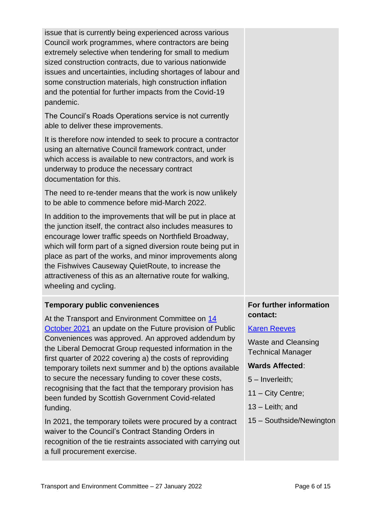| issue that is currently being experienced across various<br>Council work programmes, where contractors are being<br>extremely selective when tendering for small to medium<br>sized construction contracts, due to various nationwide<br>issues and uncertainties, including shortages of labour and<br>some construction materials, high construction inflation<br>and the potential for further impacts from the Covid-19<br>pandemic.                                                                                                                                                                                                                              |                                                                                                                                                                                                              |
|-----------------------------------------------------------------------------------------------------------------------------------------------------------------------------------------------------------------------------------------------------------------------------------------------------------------------------------------------------------------------------------------------------------------------------------------------------------------------------------------------------------------------------------------------------------------------------------------------------------------------------------------------------------------------|--------------------------------------------------------------------------------------------------------------------------------------------------------------------------------------------------------------|
| The Council's Roads Operations service is not currently<br>able to deliver these improvements.                                                                                                                                                                                                                                                                                                                                                                                                                                                                                                                                                                        |                                                                                                                                                                                                              |
| It is therefore now intended to seek to procure a contractor<br>using an alternative Council framework contract, under<br>which access is available to new contractors, and work is<br>underway to produce the necessary contract<br>documentation for this.                                                                                                                                                                                                                                                                                                                                                                                                          |                                                                                                                                                                                                              |
| The need to re-tender means that the work is now unlikely<br>to be able to commence before mid-March 2022.                                                                                                                                                                                                                                                                                                                                                                                                                                                                                                                                                            |                                                                                                                                                                                                              |
| In addition to the improvements that will be put in place at<br>the junction itself, the contract also includes measures to<br>encourage lower traffic speeds on Northfield Broadway,<br>which will form part of a signed diversion route being put in<br>place as part of the works, and minor improvements along<br>the Fishwives Causeway QuietRoute, to increase the<br>attractiveness of this as an alternative route for walking,<br>wheeling and cycling.                                                                                                                                                                                                      |                                                                                                                                                                                                              |
| <b>Temporary public conveniences</b>                                                                                                                                                                                                                                                                                                                                                                                                                                                                                                                                                                                                                                  | For further information                                                                                                                                                                                      |
| At the Transport and Environment Committee on 14<br>October 2021 an update on the Future provision of Public<br>Conveniences was approved. An approved addendum by<br>the Liberal Democrat Group requested information in the<br>first quarter of 2022 covering a) the costs of reproviding<br>temporary toilets next summer and b) the options available<br>to secure the necessary funding to cover these costs,<br>recognising that the fact that the temporary provision has<br>been funded by Scottish Government Covid-related<br>funding.<br>In 2021, the temporary toilets were procured by a contract<br>waiver to the Council's Contract Standing Orders in | contact:<br><b>Karen Reeves</b><br><b>Waste and Cleansing</b><br><b>Technical Manager</b><br><b>Wards Affected:</b><br>5 - Inverleith;<br>11 - City Centre;<br>$13$ – Leith; and<br>15 - Southside/Newington |
| recognition of the tie restraints associated with carrying out<br>a full procurement exercise.                                                                                                                                                                                                                                                                                                                                                                                                                                                                                                                                                                        |                                                                                                                                                                                                              |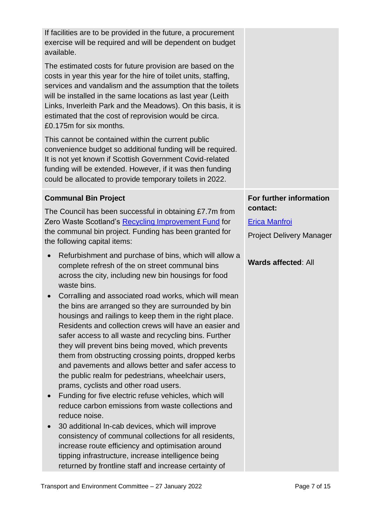| If facilities are to be provided in the future, a procurement<br>exercise will be required and will be dependent on budget<br>available.<br>The estimated costs for future provision are based on the<br>costs in year this year for the hire of toilet units, staffing,<br>services and vandalism and the assumption that the toilets<br>will be installed in the same locations as last year (Leith<br>Links, Inverleith Park and the Meadows). On this basis, it is<br>estimated that the cost of reprovision would be circa.<br>£0.175m for six months.<br>This cannot be contained within the current public<br>convenience budget so additional funding will be required.<br>It is not yet known if Scottish Government Covid-related<br>funding will be extended. However, if it was then funding<br>could be allocated to provide temporary toilets in 2022.                                                                                                                                                                                                                                                                                                                                                                                                                                                                                                                                                           |                                                                                                                              |
|--------------------------------------------------------------------------------------------------------------------------------------------------------------------------------------------------------------------------------------------------------------------------------------------------------------------------------------------------------------------------------------------------------------------------------------------------------------------------------------------------------------------------------------------------------------------------------------------------------------------------------------------------------------------------------------------------------------------------------------------------------------------------------------------------------------------------------------------------------------------------------------------------------------------------------------------------------------------------------------------------------------------------------------------------------------------------------------------------------------------------------------------------------------------------------------------------------------------------------------------------------------------------------------------------------------------------------------------------------------------------------------------------------------------------------|------------------------------------------------------------------------------------------------------------------------------|
| <b>Communal Bin Project</b><br>The Council has been successful in obtaining £7.7m from<br>Zero Waste Scotland's Recycling Improvement Fund for<br>the communal bin project. Funding has been granted for<br>the following capital items:<br>Refurbishment and purchase of bins, which will allow a<br>$\bullet$<br>complete refresh of the on street communal bins<br>across the city, including new bin housings for food<br>waste bins.<br>Corralling and associated road works, which will mean<br>the bins are arranged so they are surrounded by bin<br>housings and railings to keep them in the right place.<br>Residents and collection crews will have an easier and<br>safer access to all waste and recycling bins. Further<br>they will prevent bins being moved, which prevents<br>them from obstructing crossing points, dropped kerbs<br>and pavements and allows better and safer access to<br>the public realm for pedestrians, wheelchair users,<br>prams, cyclists and other road users.<br>Funding for five electric refuse vehicles, which will<br>reduce carbon emissions from waste collections and<br>reduce noise.<br>30 additional In-cab devices, which will improve<br>consistency of communal collections for all residents,<br>increase route efficiency and optimisation around<br>tipping infrastructure, increase intelligence being<br>returned by frontline staff and increase certainty of | For further information<br>contact:<br><b>Erica Manfroi</b><br><b>Project Delivery Manager</b><br><b>Wards affected: All</b> |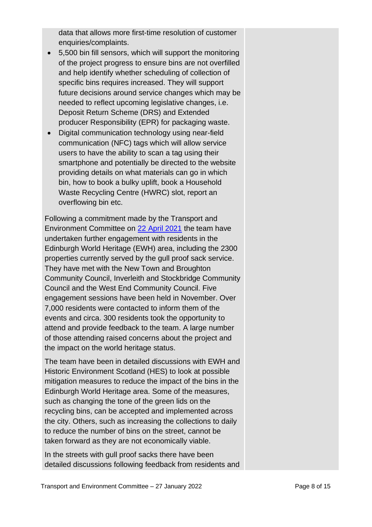data that allows more first-time resolution of customer enquiries/complaints.

- 5,500 bin fill sensors, which will support the monitoring of the project progress to ensure bins are not overfilled and help identify whether scheduling of collection of specific bins requires increased. They will support future decisions around service changes which may be needed to reflect upcoming legislative changes, i.e. Deposit Return Scheme (DRS) and Extended producer Responsibility (EPR) for packaging waste.
- Digital communication technology using near-field communication (NFC) tags which will allow service users to have the ability to scan a tag using their smartphone and potentially be directed to the website providing details on what materials can go in which bin, how to book a bulky uplift, book a Household Waste Recycling Centre (HWRC) slot, report an overflowing bin etc.

Following a commitment made by the Transport and Environment Committee on [22 April 2021](https://democracy.edinburgh.gov.uk/ieListDocuments.aspx?CId=136&MId=5662&Ver=4) the team have undertaken further engagement with residents in the Edinburgh World Heritage (EWH) area, including the 2300 properties currently served by the gull proof sack service. They have met with the New Town and Broughton Community Council, Inverleith and Stockbridge Community Council and the West End Community Council. Five engagement sessions have been held in November. Over 7,000 residents were contacted to inform them of the events and circa. 300 residents took the opportunity to attend and provide feedback to the team. A large number of those attending raised concerns about the project and the impact on the world heritage status.

The team have been in detailed discussions with EWH and Historic Environment Scotland (HES) to look at possible mitigation measures to reduce the impact of the bins in the Edinburgh World Heritage area. Some of the measures, such as changing the tone of the green lids on the recycling bins, can be accepted and implemented across the city. Others, such as increasing the collections to daily to reduce the number of bins on the street, cannot be taken forward as they are not economically viable.

In the streets with gull proof sacks there have been detailed discussions following feedback from residents and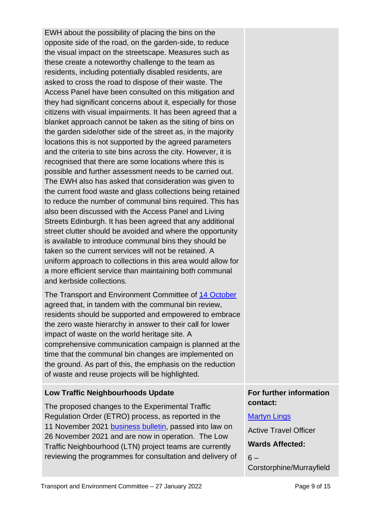EWH about the possibility of placing the bins on the opposite side of the road, on the garden-side, to reduce the visual impact on the streetscape. Measures such as these create a noteworthy challenge to the team as residents, including potentially disabled residents, are asked to cross the road to dispose of their waste. The Access Panel have been consulted on this mitigation and they had significant concerns about it, especially for those citizens with visual impairments. It has been agreed that a blanket approach cannot be taken as the siting of bins on the garden side/other side of the street as, in the majority locations this is not supported by the agreed parameters and the criteria to site bins across the city. However, it is recognised that there are some locations where this is possible and further assessment needs to be carried out. The EWH also has asked that consideration was given to the current food waste and glass collections being retained to reduce the number of communal bins required. This has also been discussed with the Access Panel and Living Streets Edinburgh. It has been agreed that any additional street clutter should be avoided and where the opportunity is available to introduce communal bins they should be taken so the current services will not be retained. A uniform approach to collections in this area would allow for a more efficient service than maintaining both communal and kerbside collections.

The Transport and Environment Committee of [14 October](https://democracy.edinburgh.gov.uk/ieListDocuments.aspx?CId=136&MId=6155&Ver=4) agreed that, in tandem with the communal bin review, residents should be supported and empowered to embrace the zero waste hierarchy in answer to their call for lower impact of waste on the world heritage site. A comprehensive communication campaign is planned at the time that the communal bin changes are implemented on the ground. As part of this, the emphasis on the reduction of waste and reuse projects will be highlighted.

#### **Low Traffic Neighbourhoods Update**

The proposed changes to the Experimental Traffic Regulation Order (ETRO) process, as reported in the 11 November 2021 [business bulletin,](https://democracy.edinburgh.gov.uk/documents/s40129/6.1%20-%20Business%20Bulletin.pdf) passed into law on 26 November 2021 and are now in operation. The Low Traffic Neighbourhood (LTN) project teams are currently reviewing the programmes for consultation and delivery of

#### **For further information contact:**

#### [Martyn Lings](mailto:martyn.lings@edinburgh.gov.uk)

Active Travel Officer

#### **Wards Affected:**

 $6 -$ Corstorphine/Murrayfield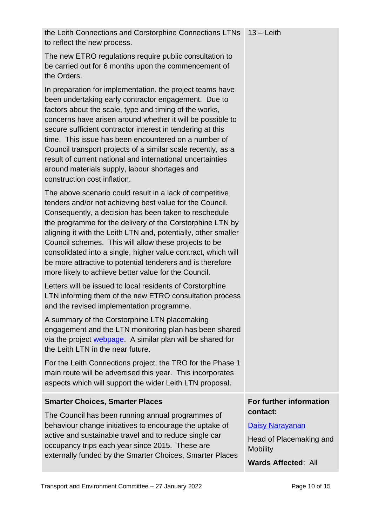| the Leith Connections and Corstorphine Connections LTNs   13 - Leith<br>to reflect the new process.                                                                                                                                                                                                                                                                                                                                                                                                                                                                            |                                                                                                                |
|--------------------------------------------------------------------------------------------------------------------------------------------------------------------------------------------------------------------------------------------------------------------------------------------------------------------------------------------------------------------------------------------------------------------------------------------------------------------------------------------------------------------------------------------------------------------------------|----------------------------------------------------------------------------------------------------------------|
| The new ETRO regulations require public consultation to<br>be carried out for 6 months upon the commencement of<br>the Orders.                                                                                                                                                                                                                                                                                                                                                                                                                                                 |                                                                                                                |
| In preparation for implementation, the project teams have<br>been undertaking early contractor engagement. Due to<br>factors about the scale, type and timing of the works,<br>concerns have arisen around whether it will be possible to<br>secure sufficient contractor interest in tendering at this<br>time. This issue has been encountered on a number of<br>Council transport projects of a similar scale recently, as a<br>result of current national and international uncertainties<br>around materials supply, labour shortages and<br>construction cost inflation. |                                                                                                                |
| The above scenario could result in a lack of competitive<br>tenders and/or not achieving best value for the Council.<br>Consequently, a decision has been taken to reschedule<br>the programme for the delivery of the Corstorphine LTN by<br>aligning it with the Leith LTN and, potentially, other smaller<br>Council schemes. This will allow these projects to be<br>consolidated into a single, higher value contract, which will<br>be more attractive to potential tenderers and is therefore<br>more likely to achieve better value for the Council.                   |                                                                                                                |
| Letters will be issued to local residents of Corstorphine<br>LTN informing them of the new ETRO consultation process<br>and the revised implementation programme.                                                                                                                                                                                                                                                                                                                                                                                                              |                                                                                                                |
| A summary of the Corstorphine LTN placemaking<br>engagement and the LTN monitoring plan has been shared<br>via the project webpage. A similar plan will be shared for<br>the Leith LTN in the near future.                                                                                                                                                                                                                                                                                                                                                                     |                                                                                                                |
| For the Leith Connections project, the TRO for the Phase 1<br>main route will be advertised this year. This incorporates<br>aspects which will support the wider Leith LTN proposal.                                                                                                                                                                                                                                                                                                                                                                                           |                                                                                                                |
| <b>Smarter Choices, Smarter Places</b>                                                                                                                                                                                                                                                                                                                                                                                                                                                                                                                                         | For further information                                                                                        |
| The Council has been running annual programmes of<br>behaviour change initiatives to encourage the uptake of<br>active and sustainable travel and to reduce single car<br>occupancy trips each year since 2015. These are<br>externally funded by the Smarter Choices, Smarter Places                                                                                                                                                                                                                                                                                          | contact:<br><b>Daisy Narayanan</b><br>Head of Placemaking and<br><b>Mobility</b><br><b>Wards Affected: All</b> |
|                                                                                                                                                                                                                                                                                                                                                                                                                                                                                                                                                                                |                                                                                                                |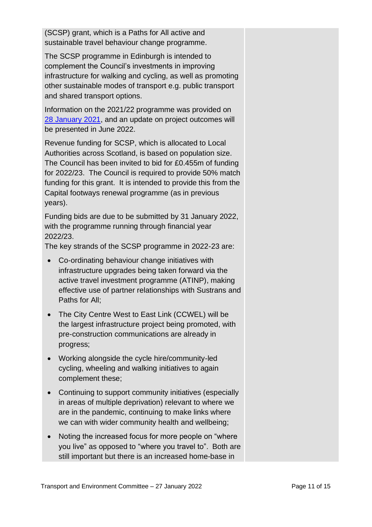(SCSP) grant, which is a Paths for All active and sustainable travel behaviour change programme.

The SCSP programme in Edinburgh is intended to complement the Council's investments in improving infrastructure for walking and cycling, as well as promoting other sustainable modes of transport e.g. public transport and shared transport options.

Information on the 2021/22 programme was provided on [28 January 2021,](https://democracy.edinburgh.gov.uk/documents/s30808/Item%206.1%20-%20Draft%20TEC%20business%20bulletin%20-%20JAN%202021_Late%20Changes.pdf) and an update on project outcomes will be presented in June 2022.

Revenue funding for SCSP, which is allocated to Local Authorities across Scotland, is based on population size. The Council has been invited to bid for £0.455m of funding for 2022/23. The Council is required to provide 50% match funding for this grant. It is intended to provide this from the Capital footways renewal programme (as in previous years).

Funding bids are due to be submitted by 31 January 2022, with the programme running through financial year 2022/23.

The key strands of the SCSP programme in 2022-23 are:

- Co-ordinating behaviour change initiatives with infrastructure upgrades being taken forward via the active travel investment programme (ATINP), making effective use of partner relationships with Sustrans and Paths for All;
- The City Centre West to East Link (CCWEL) will be the largest infrastructure project being promoted, with pre-construction communications are already in progress;
- Working alongside the cycle hire/community-led cycling, wheeling and walking initiatives to again complement these;
- Continuing to support community initiatives (especially in areas of multiple deprivation) relevant to where we are in the pandemic, continuing to make links where we can with wider community health and wellbeing;
- Noting the increased focus for more people on "where" you live" as opposed to "where you travel to". Both are still important but there is an increased home-base in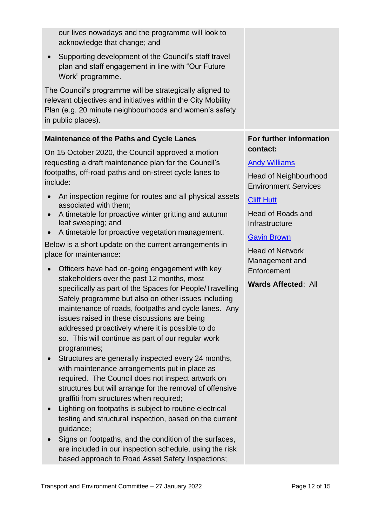|                                                        | our lives nowadays and the programme will look to<br>acknowledge that change; and                                                                                                                        |                                                             |
|--------------------------------------------------------|----------------------------------------------------------------------------------------------------------------------------------------------------------------------------------------------------------|-------------------------------------------------------------|
| $\bullet$                                              | Supporting development of the Council's staff travel<br>plan and staff engagement in line with "Our Future<br>Work" programme.                                                                           |                                                             |
|                                                        | The Council's programme will be strategically aligned to<br>relevant objectives and initiatives within the City Mobility<br>Plan (e.g. 20 minute neighbourhoods and women's safety<br>in public places). |                                                             |
|                                                        | <b>Maintenance of the Paths and Cycle Lanes</b>                                                                                                                                                          | For further information                                     |
|                                                        | On 15 October 2020, the Council approved a motion                                                                                                                                                        | contact:                                                    |
|                                                        | requesting a draft maintenance plan for the Council's<br>footpaths, off-road paths and on-street cycle lanes to                                                                                          | <b>Andy Williams</b>                                        |
|                                                        | include:                                                                                                                                                                                                 | <b>Head of Neighbourhood</b><br><b>Environment Services</b> |
| $\bullet$                                              | An inspection regime for routes and all physical assets<br>associated with them;                                                                                                                         | <b>Cliff Hutt</b>                                           |
| $\bullet$                                              | A timetable for proactive winter gritting and autumn                                                                                                                                                     | Head of Roads and                                           |
| $\bullet$                                              | leaf sweeping; and<br>A timetable for proactive vegetation management.                                                                                                                                   | Infrastructure                                              |
| Below is a short update on the current arrangements in |                                                                                                                                                                                                          | <b>Gavin Brown</b><br><b>Head of Network</b>                |
|                                                        | place for maintenance:                                                                                                                                                                                   | Management and                                              |
| $\bullet$                                              | Officers have had on-going engagement with key                                                                                                                                                           | Enforcement                                                 |
|                                                        | stakeholders over the past 12 months, most<br>specifically as part of the Spaces for People/Travelling                                                                                                   | <b>Wards Affected: All</b>                                  |
|                                                        | Safely programme but also on other issues including                                                                                                                                                      |                                                             |
|                                                        | maintenance of roads, footpaths and cycle lanes. Any<br>issues raised in these discussions are being                                                                                                     |                                                             |
|                                                        | addressed proactively where it is possible to do                                                                                                                                                         |                                                             |
|                                                        | so. This will continue as part of our regular work                                                                                                                                                       |                                                             |
| $\bullet$                                              | programmes;<br>Structures are generally inspected every 24 months,                                                                                                                                       |                                                             |
|                                                        | with maintenance arrangements put in place as                                                                                                                                                            |                                                             |
|                                                        | required. The Council does not inspect artwork on                                                                                                                                                        |                                                             |
|                                                        | structures but will arrange for the removal of offensive<br>graffiti from structures when required;                                                                                                      |                                                             |
|                                                        | Lighting on footpaths is subject to routine electrical                                                                                                                                                   |                                                             |
|                                                        | testing and structural inspection, based on the current                                                                                                                                                  |                                                             |
|                                                        | guidance;                                                                                                                                                                                                |                                                             |
|                                                        | Signs on footpaths, and the condition of the surfaces,<br>are included in our inspection schedule, using the risk                                                                                        |                                                             |
|                                                        | based approach to Road Asset Safety Inspections;                                                                                                                                                         |                                                             |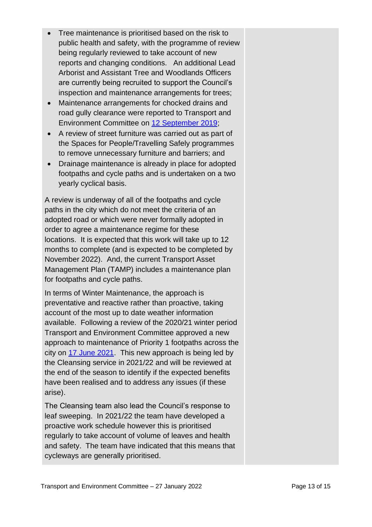- Tree maintenance is prioritised based on the risk to public health and safety, with the programme of review being regularly reviewed to take account of new reports and changing conditions. An additional Lead Arborist and Assistant Tree and Woodlands Officers are currently being recruited to support the Council's inspection and maintenance arrangements for trees;
- Maintenance arrangements for chocked drains and road gully clearance were reported to Transport and Environment Committee on [12 September 2019;](https://democracy.edinburgh.gov.uk/documents/s6053/Item%206.1%20-%20Business%20Bulletin.pdf)
- A review of street furniture was carried out as part of the Spaces for People/Travelling Safely programmes to remove unnecessary furniture and barriers; and
- Drainage maintenance is already in place for adopted footpaths and cycle paths and is undertaken on a two yearly cyclical basis.

A review is underway of all of the footpaths and cycle paths in the city which do not meet the criteria of an adopted road or which were never formally adopted in order to agree a maintenance regime for these locations. It is expected that this work will take up to 12 months to complete (and is expected to be completed by November 2022). And, the current Transport Asset Management Plan (TAMP) includes a maintenance plan for footpaths and cycle paths.

In terms of Winter Maintenance, the approach is preventative and reactive rather than proactive, taking account of the most up to date weather information available. Following a review of the 2020/21 winter period Transport and Environment Committee approved a new approach to maintenance of Priority 1 footpaths across the city on [17 June 2021.](https://democracy.edinburgh.gov.uk/documents/s34877/7.5%20-%20Winter%20Maintenance%20Review%20-%202020-21_170621_v1.6.pdf) This new approach is being led by the Cleansing service in 2021/22 and will be reviewed at the end of the season to identify if the expected benefits have been realised and to address any issues (if these arise).

The Cleansing team also lead the Council's response to leaf sweeping. In 2021/22 the team have developed a proactive work schedule however this is prioritised regularly to take account of volume of leaves and health and safety. The team have indicated that this means that cycleways are generally prioritised.